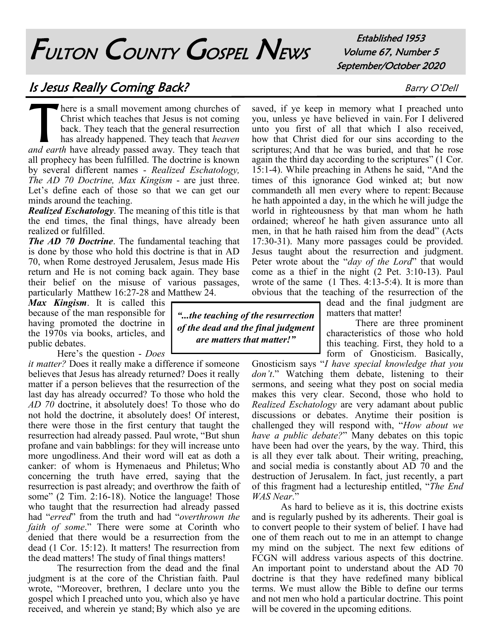## FULTON COUNTY GOSPEL NEWS

Established 1953 Volume 67, Number 5 September/October 2020

## Is Jesus Really Coming Back? Barry O'Dell

T here is a small movement among churches of Christ which teaches that Jesus is not coming back. They teach that the general resurrection has already happened. They teach that *heaven and earth* have already passed away. They teach that all prophecy has been fulfilled. The doctrine is known by several different names - *Realized Eschatology, The AD 70 Doctrine, Max Kingism* - are just three. Let's define each of those so that we can get our minds around the teaching.

*Realized Eschatology*. The meaning of this title is that the end times, the final things, have already been realized or fulfilled.

*The AD 70 Doctrine*. The fundamental teaching that is done by those who hold this doctrine is that in AD 70, when Rome destroyed Jerusalem, Jesus made His return and He is not coming back again. They base their belief on the misuse of various passages, particularly Matthew 16:27-28 and Matthew 24.

*Max Kingism*. It is called this because of the man responsible for having promoted the doctrine in the 1970s via books, articles, and public debates.

Here's the question - *Does* 

*it matter?* Does it really make a difference if someone believes that Jesus has already returned? Does it really matter if a person believes that the resurrection of the last day has already occurred? To those who hold the *AD 70* doctrine, it absolutely does! To those who do not hold the doctrine, it absolutely does! Of interest, there were those in the first century that taught the resurrection had already passed. Paul wrote, "But shun profane and vain babblings: for they will increase unto more ungodliness. And their word will eat as doth a canker: of whom is Hymenaeus and Philetus; Who concerning the truth have erred, saying that the resurrection is past already; and overthrow the faith of some" (2 Tim. 2:16-18). Notice the language! Those who taught that the resurrection had already passed had "*erred*" from the truth and had "*overthrown the faith of some*." There were some at Corinth who denied that there would be a resurrection from the dead (1 Cor. 15:12). It matters! The resurrection from the dead matters! The study of final things matters!

The resurrection from the dead and the final judgment is at the core of the Christian faith. Paul wrote, "Moreover, brethren, I declare unto you the gospel which I preached unto you, which also ye have received, and wherein ye stand; By which also ye are

*"...the teaching of the resurrection of the dead and the final judgment are matters that matter!"*

saved, if ye keep in memory what I preached unto you, unless ye have believed in vain. For I delivered unto you first of all that which I also received, how that Christ died for our sins according to the scriptures; And that he was buried, and that he rose again the third day according to the scriptures" (1 Cor. 15:1-4). While preaching in Athens he said, "And the times of this ignorance God winked at; but now commandeth all men every where to repent: Because he hath appointed a day, in the which he will judge the world in righteousness by that man whom he hath ordained; whereof he hath given assurance unto all men, in that he hath raised him from the dead" (Acts 17:30-31). Many more passages could be provided. Jesus taught about the resurrection and judgment. Peter wrote about the "*day of the Lord*" that would come as a thief in the night (2 Pet. 3:10-13). Paul wrote of the same (1 Thes. 4:13-5:4). It is more than obvious that the teaching of the resurrection of the

dead and the final judgment are matters that matter!

There are three prominent characteristics of those who hold this teaching. First, they hold to a form of Gnosticism. Basically,

Gnosticism says "*I have special knowledge that you don't*." Watching them debate, listening to their sermons, and seeing what they post on social media makes this very clear. Second, those who hold to *Realized Eschatology* are very adamant about public discussions or debates. Anytime their position is challenged they will respond with, "*How about we have a public debate?*" Many debates on this topic have been had over the years, by the way. Third, this is all they ever talk about. Their writing, preaching, and social media is constantly about AD 70 and the destruction of Jerusalem. In fact, just recently, a part of this fragment had a lectureship entitled, "*The End WAS Near*."

As hard to believe as it is, this doctrine exists and is regularly pushed by its adherents. Their goal is to convert people to their system of belief. I have had one of them reach out to me in an attempt to change my mind on the subject. The next few editions of FCGN will address various aspects of this doctrine. An important point to understand about the AD 70 doctrine is that they have redefined many biblical terms. We must allow the Bible to define our terms and not men who hold a particular doctrine. This point will be covered in the upcoming editions.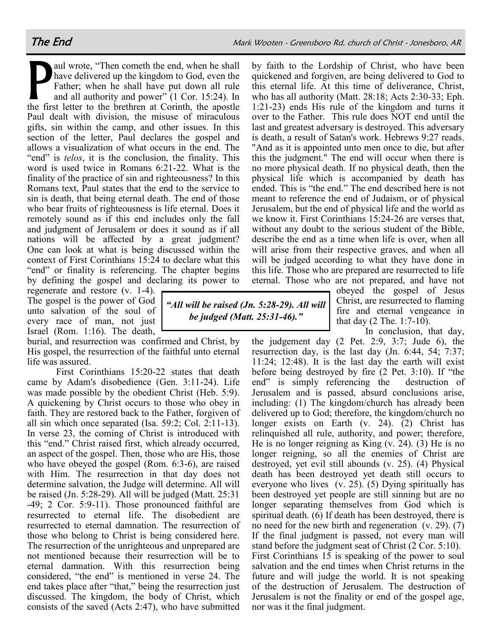by faith to the Lordship of Christ, who have been quickened and forgiven, are being delivered to God to this eternal life. At this time of deliverance, Christ, who has all authority (Matt. 28:18; Acts 2:30-33; Eph. 1:21-23) ends His rule of the kingdom and turns it

P<br>the fix aul wrote, "Then cometh the end, when he shall have delivered up the kingdom to God, even the Father; when he shall have put down all rule and all authority and power" (1 Cor. 15:24). In the first letter to the brethren at Corinth, the apostle Paul dealt with division, the misuse of miraculous gifts, sin within the camp, and other issues. In this section of the letter, Paul declares the gospel and allows a visualization of what occurs in the end. The "end" is *telos*, it is the conclusion, the finality. This word is used twice in Romans 6:21-22. What is the finality of the practice of sin and righteousness? In this Romans text, Paul states that the end to the service to sin is death, that being eternal death. The end of those who bear fruits of righteousness is life eternal. Does it remotely sound as if this end includes only the fall and judgment of Jerusalem or does it sound as if all nations will be affected by a great judgment? One can look at what is being discussed within the context of First Corinthians 15:24 to declare what this "end" or finality is referencing. The chapter begins by defining the gospel and declaring its power to

regenerate and restore (v. 1-4). The gospel is the power of God unto salvation of the soul of every race of man, not just Israel (Rom. 1:16). The death,

burial, and resurrection was confirmed and Christ, by His gospel, the resurrection of the faithful unto eternal life was assured.

*"All will be raised (Jn. 5:28-29). All will be judged (Matt. 25:31-46)."*

First Corinthians 15:20-22 states that death came by Adam's disobedience (Gen. 3:11-24). Life was made possible by the obedient Christ (Heb. 5:9). A quickening by Christ occurs to those who obey in faith. They are restored back to the Father, forgiven of all sin which once separated (Isa. 59:2; Col. 2:11-13). In verse 23, the coming of Christ is introduced with this "end." Christ raised first, which already occurred, an aspect of the gospel. Then, those who are His, those who have obeyed the gospel (Rom. 6:3-6), are raised with Him. The resurrection in that day does not determine salvation, the Judge will determine. All will be raised (Jn. 5:28-29). All will be judged (Matt. 25:31 -49; 2 Cor. 5:9-11). Those pronounced faithful are resurrected to eternal life. The disobedient are resurrected to eternal damnation. The resurrection of those who belong to Christ is being considered here. The resurrection of the unrighteous and unprepared are not mentioned because their resurrection will be to eternal damnation. With this resurrection being considered, "the end" is mentioned in verse 24. The end takes place after "that," being the resurrection just discussed. The kingdom, the body of Christ, which consists of the saved (Acts 2:47), who have submitted

over to the Father. This rule does NOT end until the last and greatest adversary is destroyed. This adversary is death, a result of Satan's work. Hebrews 9:27 reads, "And as it is appointed unto men once to die, but after this the judgment." The end will occur when there is no more physical death. If no physical death, then the physical life which is accompanied by death has ended. This is "the end." The end described here is not meant to reference the end of Judaism, or of physical Jerusalem, but the end of physical life and the world as we know it. First Corinthians 15:24-26 are verses that, without any doubt to the serious student of the Bible, describe the end as a time when life is over, when all will arise from their respective graves, and when all will be judged according to what they have done in this life. Those who are prepared are resurrected to life eternal. Those who are not prepared, and have not

obeyed the gospel of Jesus Christ, are resurrected to flaming fire and eternal vengeance in that day (2 The. 1:7-10).

In conclusion, that day,

the judgement day (2 Pet. 2:9, 3:7; Jude 6), the resurrection day, is the last day (Jn. 6:44, 54; 7:37; 11:24; 12:48). It is the last day the earth will exist before being destroyed by fire (2 Pet. 3:10). If "the end" is simply referencing the destruction of Jerusalem and is passed, absurd conclusions arise, including: (1) The kingdom/church has already been delivered up to God; therefore, the kingdom/church no longer exists on Earth (v. 24). (2) Christ has relinquished all rule, authority, and power; therefore, He is no longer reigning as King (v. 24). (3) He is no longer reigning, so all the enemies of Christ are destroyed, yet evil still abounds (v. 25). (4) Physical death has been destroyed yet death still occurs to everyone who lives (v. 25). (5) Dying spiritually has been destroyed yet people are still sinning but are no longer separating themselves from God which is spiritual death. (6) If death has been destroyed, there is no need for the new birth and regeneration (v. 29). (7) If the final judgment is passed, not every man will stand before the judgment seat of Christ (2 Cor. 5:10). First Corinthians 15 is speaking of the power to soul salvation and the end times when Christ returns in the future and will judge the world. It is not speaking of the destruction of Jerusalem. The destruction of Jerusalem is not the finality or end of the gospel age, nor was it the final judgment.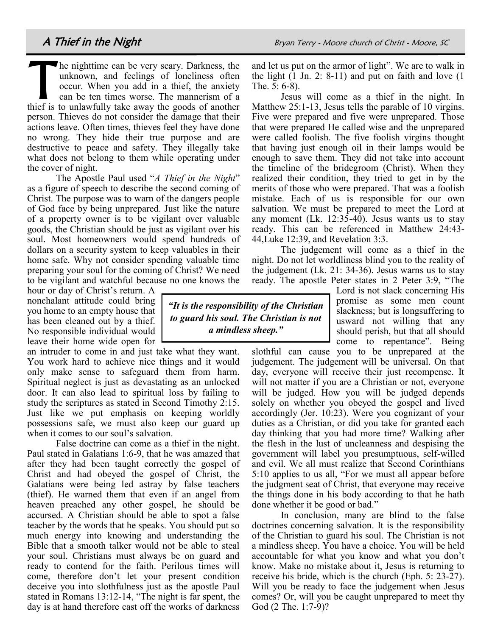$\prod_{\text{third is a}}$ he nighttime can be very scary. Darkness, the unknown, and feelings of loneliness often occur. When you add in a thief, the anxiety can be ten times worse. The mannerism of a thief is to unlawfully take away the goods of another person. Thieves do not consider the damage that their actions leave. Often times, thieves feel they have done no wrong. They hide their true purpose and are destructive to peace and safety. They illegally take what does not belong to them while operating under the cover of night.

The Apostle Paul used "*A Thief in the Night*" as a figure of speech to describe the second coming of Christ. The purpose was to warn of the dangers people of God face by being unprepared. Just like the nature of a property owner is to be vigilant over valuable goods, the Christian should be just as vigilant over his soul. Most homeowners would spend hundreds of dollars on a security system to keep valuables in their home safe. Why not consider spending valuable time preparing your soul for the coming of Christ? We need to be vigilant and watchful because no one knows the

hour or day of Christ's return. A nonchalant attitude could bring you home to an empty house that has been cleaned out by a thief. No responsible individual would leave their home wide open for

an intruder to come in and just take what they want. You work hard to achieve nice things and it would only make sense to safeguard them from harm. Spiritual neglect is just as devastating as an unlocked door. It can also lead to spiritual loss by failing to study the scriptures as stated in Second Timothy 2:15. Just like we put emphasis on keeping worldly possessions safe, we must also keep our guard up when it comes to our soul's salvation.

False doctrine can come as a thief in the night. Paul stated in Galatians 1:6-9, that he was amazed that after they had been taught correctly the gospel of Christ and had obeyed the gospel of Christ, the Galatians were being led astray by false teachers (thief). He warned them that even if an angel from heaven preached any other gospel, he should be accursed. A Christian should be able to spot a false teacher by the words that he speaks. You should put so much energy into knowing and understanding the Bible that a smooth talker would not be able to steal your soul. Christians must always be on guard and ready to contend for the faith. Perilous times will come, therefore don't let your present condition deceive you into slothfulness just as the apostle Paul stated in Romans 13:12-14, "The night is far spent, the day is at hand therefore cast off the works of darkness

and let us put on the armor of light". We are to walk in the light (1 Jn. 2: 8-11) and put on faith and love (1 The. 5: 6-8).

Jesus will come as a thief in the night. In Matthew 25:1-13, Jesus tells the parable of 10 virgins. Five were prepared and five were unprepared. Those that were prepared He called wise and the unprepared were called foolish. The five foolish virgins thought that having just enough oil in their lamps would be enough to save them. They did not take into account the timeline of the bridegroom (Christ). When they realized their condition, they tried to get in by the merits of those who were prepared. That was a foolish mistake. Each of us is responsible for our own salvation. We must be prepared to meet the Lord at any moment (Lk. 12:35-40). Jesus wants us to stay ready. This can be referenced in Matthew 24:43- 44,Luke 12:39, and Revelation 3:3.

The judgement will come as a thief in the night. Do not let worldliness blind you to the reality of the judgement (Lk. 21: 34-36). Jesus warns us to stay ready. The apostle Peter states in 2 Peter 3:9, "The

> Lord is not slack concerning His promise as some men count slackness; but is longsuffering to usward not willing that any should perish, but that all should come to repentance". Being

slothful can cause you to be unprepared at the judgement. The judgement will be universal. On that day, everyone will receive their just recompense. It will not matter if you are a Christian or not, everyone will be judged. How you will be judged depends solely on whether you obeyed the gospel and lived accordingly (Jer. 10:23). Were you cognizant of your duties as a Christian, or did you take for granted each day thinking that you had more time? Walking after the flesh in the lust of uncleanness and despising the government will label you presumptuous, self-willed and evil. We all must realize that Second Corinthians 5:10 applies to us all, "For we must all appear before the judgment seat of Christ, that everyone may receive the things done in his body according to that he hath done whether it be good or bad."

In conclusion, many are blind to the false doctrines concerning salvation. It is the responsibility of the Christian to guard his soul. The Christian is not a mindless sheep. You have a choice. You will be held accountable for what you know and what you don't know. Make no mistake about it, Jesus is returning to receive his bride, which is the church (Eph. 5: 23-27). Will you be ready to face the judgement when Jesus comes? Or, will you be caught unprepared to meet thy God (2 The. 1:7-9)?

*"It is the responsibility of the Christian to guard his soul. The Christian is not a mindless sheep."*